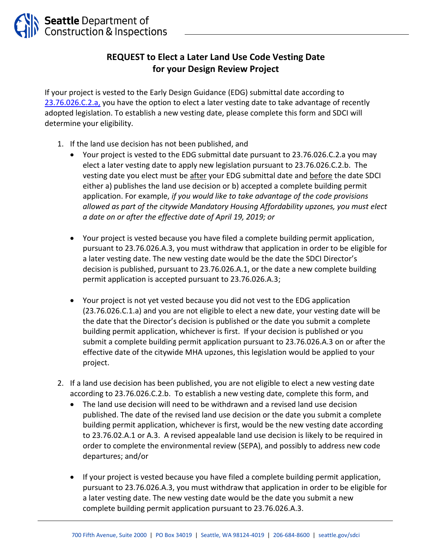## **REQUEST to Elect a Later Land Use Code Vesting Date for your Design Review Project**

If your project is vested to the Early Design Guidance (EDG) submittal date according to [23.76.026.C.2.a,](https://library.municode.com/wa/seattle/codes/municipal_code?nodeId=TIT23LAUSCO_SUBTITLE_IVAD_CH23.76PRMAUSPECOLAUSDE_SUBCHAPTER_IIMAUSPE_23.76.026VE) you have the option to elect a later vesting date to take advantage of recently adopted legislation. To establish a new vesting date, please complete this form and SDCI will determine your eligibility.

- 1. If the land use decision has not been published, and
	- Your project is vested to the EDG submittal date pursuant to 23.76.026.C.2.a you may elect a later vesting date to apply new legislation pursuant to 23.76.026.C.2.b. The vesting date you elect must be after your EDG submittal date and before the date SDCI either a) publishes the land use decision or b) accepted a complete building permit application. For example, *if you would like to take advantage of the code provisions allowed as part of the citywide Mandatory Housing Affordability upzones, you must elect a date on or after the effective date of April 19, 2019; or*
	- Your project is vested because you have filed a complete building permit application, pursuant to 23.76.026.A.3, you must withdraw that application in order to be eligible for a later vesting date. The new vesting date would be the date the SDCI Director's decision is published, pursuant to 23.76.026.A.1, or the date a new complete building permit application is accepted pursuant to 23.76.026.A.3;
	- Your project is not yet vested because you did not vest to the EDG application (23.76.026.C.1.a) and you are not eligible to elect a new date, your vesting date will be the date that the Director's decision is published or the date you submit a complete building permit application, whichever is first. If your decision is published or you submit a complete building permit application pursuant to 23.76.026.A.3 on or after the effective date of the citywide MHA upzones, this legislation would be applied to your project.
- 2. If a land use decision has been published, you are not eligible to elect a new vesting date according to 23.76.026.C.2.b. To establish a new vesting date, complete this form, and
	- The land use decision will need to be withdrawn and a revised land use decision published. The date of the revised land use decision or the date you submit a complete building permit application, whichever is first, would be the new vesting date according to 23.76.02.A.1 or A.3. A revised appealable land use decision is likely to be required in order to complete the environmental review (SEPA), and possibly to address new code departures; and/or
	- If your project is vested because you have filed a complete building permit application, pursuant to 23.76.026.A.3, you must withdraw that application in order to be eligible for a later vesting date. The new vesting date would be the date you submit a new complete building permit application pursuant to 23.76.026.A.3.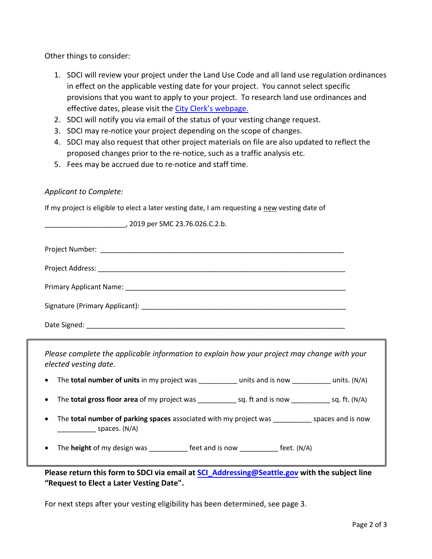Other things to consider:

- 1. SDCI will review your project under the Land Use Code and all land use regulation ordinances in effect on the applicable vesting date for your project. You cannot select specific provisions that you want to apply to your project. To research land use ordinances and effective dates, please visit the [City Clerk's webpage](https://seattle.legistar.com/Default.aspx).
- 2. SDCI will notify you via email of the status of your vesting change request.
- 3. SDCI may re-notice your project depending on the scope of changes.
- 4. SDCI may also request that other project materials on file are also updated to reflect the proposed changes prior to the re-notice, such as a traffic analysis etc.
- 5. Fees may be accrued due to re-notice and staff time.

\_\_\_\_\_\_\_\_\_\_\_\_\_\_\_\_\_\_\_\_\_, 2019 per SMC 23.76.026.C.2.b.

## *Applicant to Complete:*

If my project is eligible to elect a later vesting date, I am requesting a new vesting date of

*Please complete the applicable information to explain how your project may change with your elected vesting date.* 

- The **total number of units** in my project was \_\_\_\_\_\_\_\_\_\_ units and is now \_\_\_\_\_\_\_\_\_\_ units. (N/A)
- The **total gross floor area** of my project was \_\_\_\_\_\_\_\_\_\_\_\_ sq. ft and is now \_\_\_\_\_\_\_\_\_\_\_ sq. ft. (N/A)
- The **total number of parking spaces** associated with my project was \_\_\_\_\_\_\_\_\_\_ spaces and is now  $\overline{\phantom{a}}$  spaces. (N/A)

The **height** of my design was \_\_\_\_\_\_\_\_\_\_\_ feet and is now \_\_\_\_\_\_\_\_\_\_\_ feet. (N/A)

**Please return this form to SDCI via email at [SCI\\_Addressing@Seattle.gov w](mailto:Onum.Esonu@seattle.gov)ith the subject line "Request to Elect a Later Vesting Date".** 

For next steps after your vesting eligibility has been determined, see page 3.